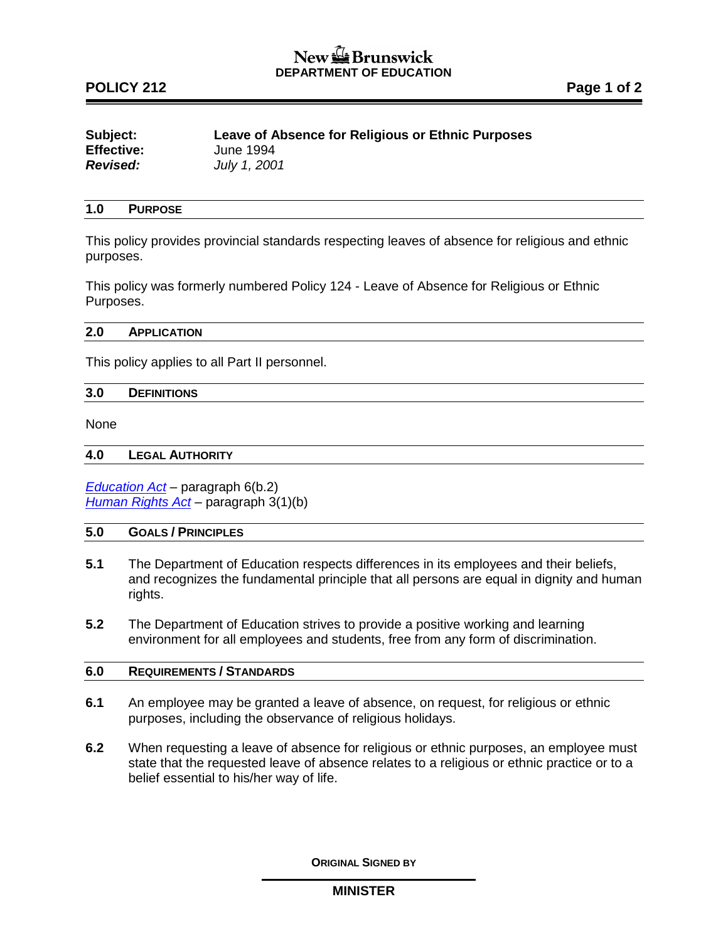# New the Brunswick **DEPARTMENT OF EDUCATION**

# **POLICY 212 Page 1 of 2**

| Subject:          | Leave of Absence for Religious or Ethnic Purposes |
|-------------------|---------------------------------------------------|
| <b>Effective:</b> | June 1994                                         |
| <b>Revised:</b>   | July 1, 2001                                      |

### **1.0 PURPOSE**

This policy provides provincial standards respecting leaves of absence for religious and ethnic purposes.

This policy was formerly numbered Policy 124 - Leave of Absence for Religious or Ethnic Purposes.

#### **2.0 APPLICATION**

This policy applies to all Part II personnel.

#### **3.0 DEFINITIONS**

None

#### **4.0 LEGAL AUTHORITY**

*[Education Act](http://laws.gnb.ca/en/ShowPdf/cs/E-1.12.pdf) –* paragraph 6(b.2) *[Human Rights Act](http://laws.gnb.ca/en/ShowPdf/cs/2011-c.171.pdf) –* paragraph 3(1)(b)

## **5.0 GOALS / PRINCIPLES**

- **5.1** The Department of Education respects differences in its employees and their beliefs, and recognizes the fundamental principle that all persons are equal in dignity and human rights.
- **5.2** The Department of Education strives to provide a positive working and learning environment for all employees and students, free from any form of discrimination.

#### **6.0 REQUIREMENTS / STANDARDS**

- **6.1** An employee may be granted a leave of absence, on request, for religious or ethnic purposes, including the observance of religious holidays.
- **6.2** When requesting a leave of absence for religious or ethnic purposes, an employee must state that the requested leave of absence relates to a religious or ethnic practice or to a belief essential to his/her way of life.

**ORIGINAL SIGNED BY**

### **MINISTER**